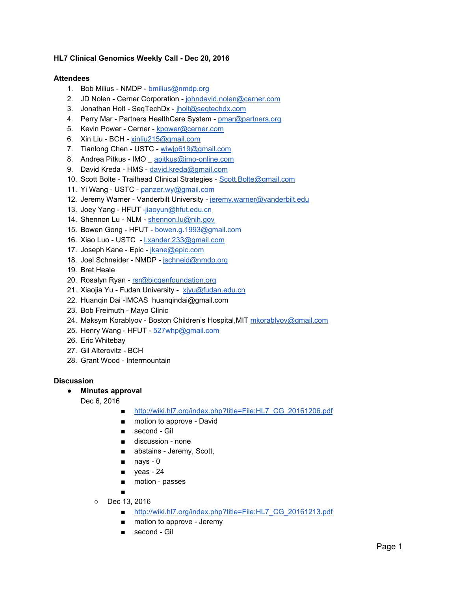### **HL7 Clinical Genomics Weekly Call - Dec 20, 2016**

#### **Attendees**

- 1. Bob Milius NMDP [bmilius@nmdp.org](mailto:bmilius@nmdp.org)
- 2. JD Nolen Cerner Corporation - [johndavid.nolen@cerner.com](mailto:johndavid.nolen@cerner.com)
- 3. Jonathan Holt SeqTechDx - [jholt@seqtechdx.com](mailto:jholt@seqtechdx.com)
- 4. Perry Mar Partners HealthCare System - [pmar@partners.org](mailto:pmar@partners.org)
- 5. Kevin Power Cerner - [kpower@cerner.com](mailto:kpower@cerner.com)
- 6. Xin Liu BCH [xinliu215@gmail.com](mailto:xinliu215@gmail.com)
- 7. Tianlong Chen USTC - [wiwjp619@gmail.com](mailto:wiwjp619@gmail.com)
- 8. Andrea Pitkus IMO [apitkus@imo-online.com](mailto:apitkus@imo-online.com)
- 9. David Kreda HMS - [david.kreda@gmail.com](mailto:david.kreda@gmail.com)
- 10. Scott Bolte Trailhead Clinical Strategies - [Scott.Bolte@gmail.com](mailto:Scott.Bolte@gmail.com)
- 11. Yi Wang USTC - [panzer.wy@gmail.com](mailto:panzer.wy@gmail.com)
- 12. Jeremy Warner Vanderbilt University - [jeremy.warner@vanderbilt.edu](mailto:jeremy.warner@vanderbilt.edu)
- 13. Joey Yang HFUT [-jiaoyun@hfut.edu.cn](mailto:-jiaoyun@hfut.edu.cn)
- 14. Shennon Lu NLM - [shennon.lu@nih.gov](mailto:shennon.lu@nih.gov)
- 15. Bowen Gong HFUT - [bowen.g.1993@gmail.com](mailto:bowen.g.1993@gmail.com)
- 16. Xiao Luo USTC [l.xander.233@gmail.com](mailto:l.xander.233@gmail.com)
- 17. Joseph Kane Epic - [jkane@epic.com](mailto:jkane@epic.com)
- 18. Joel Schneider NMDP - [jschneid@nmdp.org](mailto:jschneid@nmdp.org)
- 19. Bret Heale
- 20. Rosalyn Ryan - [rsr@bicgenfoundation.org](mailto:rsr@bicgenfoundation.org)
- 21. Xiaojia Yu Fudan University xivu@fudan.edu.cn
- 22. Huanqin Dai -IMCAS huanqindai@gmail.com
- 23. Bob Freimuth Mayo Clinic
- 24. Maksym Korablyov Boston Children's Hospital, MIT [mkorablyov@gmail.com](mailto:mkorablyov@gmail.com)
- 25. Henry Wang HFUT [527whp@gmail.com](mailto:527whp@gmail.com)
- 26. Eric Whitebay
- 27. Gil Alterovitz BCH
- 28. Grant Wood Intermountain

#### **Discussion**

- **● Minutes approval**
	- Dec 6, 2016
		- [http://wiki.hl7.org/index.php?title=File:HL7\\_CG\\_20161206.pdf](http://wiki.hl7.org/index.php?title=File:HL7_CG_20161206.pdf)
		- motion to approve David
		- second Gil
		- discussion none
		- abstains Jeremy, Scott,
		- nays 0
		- yeas 24
		- motion passes
		- ○ Dec 13, 2016
			- [http://wiki.hl7.org/index.php?title=File:HL7\\_CG\\_20161213.pdf](http://wiki.hl7.org/index.php?title=File:HL7_CG_20161213.pdf)
			- motion to approve Jeremy
			- second Gil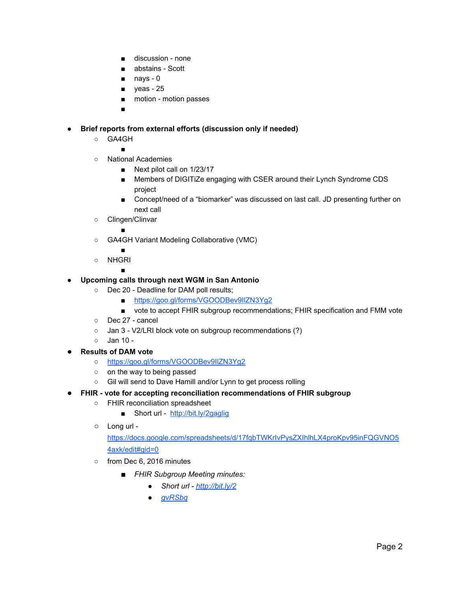- discussion none
- abstains Scott
- nays 0
- yeas 25
- motion motion passes
- ■

## **● Brief reports from external efforts (discussion only if needed)**

○ GA4GH

■

- National Academies
	- Next pilot call on 1/23/17
	- Members of DIGITiZe engaging with CSER around their Lynch Syndrome CDS project
	- Concept/need of a "biomarker" was discussed on last call. JD presenting further on next call
- Clingen/Clinvar

■

○ GA4GH Variant Modeling Collaborative (VMC)

■

■

○ NHGRI

# **● Upcoming calls through next WGM in San Antonio**

- Dec 20 Deadline for DAM poll results;
	- <https://goo.gl/forms/VGOODBev9IlZN3Yg2>
	- vote to accept FHIR subgroup recommendations; FHIR specification and FMM vote
- Dec 27 cancel
- Jan 3 V2/LRI block vote on subgroup recommendations (?)
- Jan 10 -
- **Results of DAM vote** 
	- **○** <https://goo.gl/forms/VGOODBev9IlZN3Yg2>
	- on the way to being passed
	- Gil will send to Dave Hamill and/or Lynn to get process rolling
- **FHIR vote for accepting reconciliation recommendations of FHIR subgroup**
	- FHIR reconciliation spreadsheet
		- Short url -<http://bit.ly/2gaglig>
	- Long url -

[https://docs.google.com/spreadsheets/d/17fqbTWKrIvPysZXIhlhLX4proKpv95inFQGVNO5](https://docs.google.com/spreadsheets/d/17fqbTWKrIvPysZXIhlhLX4proKpv95inFQGVNO54axk/edit#gid=0) [4axk/edit#gid=0](https://docs.google.com/spreadsheets/d/17fqbTWKrIvPysZXIhlhLX4proKpv95inFQGVNO54axk/edit#gid=0)

- o from Dec 6, 2016 minutes
	- *■ FHIR Subgroup Meeting minutes:*
		- *● Short url - [http://bit.ly/2](http://bit.ly/2gvRSbq)*
		- *● [gvRSbq](http://bit.ly/2gvRSbq)*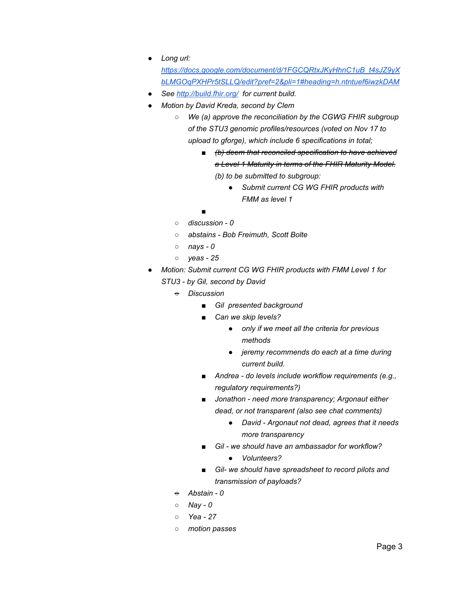*● Long url:*

*[https://docs.google.com/document/d/1FGCQRtxJKyHhnC1uB\\_t4sJZ9yX](https://docs.google.com/document/d/1FGCQRtxJKyHhnC1uB_t4sJZ9yXbLMGOqPXHPr5tSLLQ/edit?pref=2&pli=1#heading=h.ntntuef6iwzkDAM) [bLMGOqPXHPr5tSLLQ/edit?pref=2&pli=1#heading=h.ntntuef6iwzkDAM](https://docs.google.com/document/d/1FGCQRtxJKyHhnC1uB_t4sJZ9yXbLMGOqPXHPr5tSLLQ/edit?pref=2&pli=1#heading=h.ntntuef6iwzkDAM)*

- *● See<http://build.fhir.org/> for current build.*
- *● Motion by David Kreda, second by Clem*
	- *○ We (a) approve the reconciliation by the CGWG FHIR subgroup of the STU3 genomic profiles/resources (voted on Nov 17 to upload to gforge), which include 6 specifications in total;*
		- *■ (b) deem that reconciled specification to have achieved a Level 1 Maturity in terms of the FHIR Maturity Model. (b) to be submitted to subgroup:*
			- *● Submit current CG WG FHIR products with FMM as level 1*
		- *■*
	- *○ discussion - 0*
	- *○ abstains - Bob Freimuth, Scott Bolte*
	- *○ nays - 0*
	- *○ yeas - 25*
- *● Motion: Submit current CG WG FHIR products with FMM Level 1 for*
	- *STU3 - by Gil, second by David*
		- *○ Discussion*
			- *■ Gil presented background*
			- *■ Can we skip levels?*
				- *● only if we meet all the criteria for previous methods*
				- *● jeremy recommends do each at a time during current build.*
			- *■ Andrea - do levels include workflow requirements (e.g., regulatory requirements?)*
			- *■ Jonathon - need more transparency; Argonaut either dead, or not transparent (also see chat comments)*
				- *● David - Argonaut not dead, agrees that it needs more transparency*
			- *■ Gil - we should have an ambassador for workflow?*
				- *● Volunteers?*
			- *■ Gil- we should have spreadsheet to record pilots and transmission of payloads?*
			- *○ Abstain - 0*
			- *○ Nay - 0*
			- *○ Yea - 27*
			- *○ motion passes*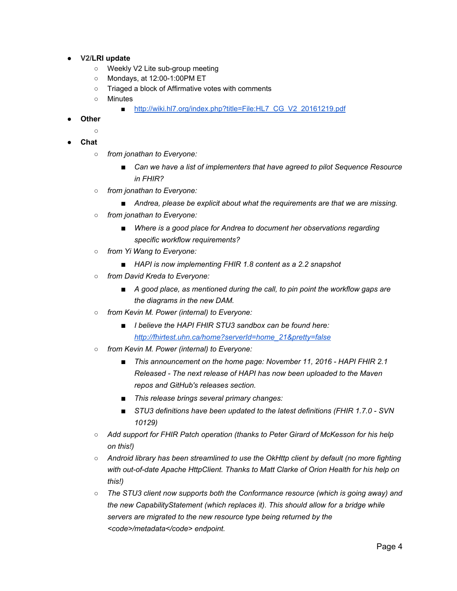- **● V2/LRI update**
	- Weekly V2 Lite sub-group meeting
	- Mondays, at 12:00-1:00PM ET
	- Triaged a block of Affirmative votes with comments
	- Minutes
		- [http://wiki.hl7.org/index.php?title=File:HL7\\_CG\\_V2\\_20161219.pdf](http://wiki.hl7.org/index.php?title=File:HL7_CG_V2_20161219.pdf)
- **● Other**
	- **○**

**● Chat**

- *from jonathan to Everyone:*
	- Can we have a list of *implementers that have agreed to pilot* Sequence Resource *in FHIR?*
- *from jonathan to Everyone:*
	- *Andrea, please be explicit about what the requirements are that we are missing.*
- *from jonathan to Everyone:*
	- *Where is a good place for Andrea to document her observations regarding specific workflow requirements?*
- *from Yi Wang to Everyone:*
	- *HAPI* is now implementing FHIR 1.8 content as a 2.2 snapshot
- *from David Kreda to Everyone:*
	- *A good place, as mentioned during the call, to pin point the workflow gaps are the diagrams in the new DAM.*
- *from Kevin M. Power (internal) to Everyone:*
	- *I believe the HAPI FHIR STU3 sandbox can be found here[:](http://fhirtest.uhn.ca/home?serverId=home_21&pretty=false) [http://fhirtest.uhn.ca/home?serverId=home\\_21&pretty=false](http://fhirtest.uhn.ca/home?serverId=home_21&pretty=false)*
- *from Kevin M. Power (internal) to Everyone:*
	- *This announcement on the home page: November 11, 2016 - HAPI FHIR 2.1 Released - The next release of HAPI has now been uploaded to the Maven repos and GitHub's releases section.*
	- *This release brings several primary changes:*
	- *STU3 definitions have been updated to the latest definitions (FHIR 1.7.0 - SVN 10129)*
- *Add support for FHIR Patch operation (thanks to Peter Girard of McKesson for his help on this!)*
- *Android library has been streamlined to use the OkHttp client by default (no more fighting with out-of-date Apache HttpClient. Thanks to Matt Clarke of Orion Health for his help on this!)*
- *The STU3 client now supports both the Conformance resource (which is going away) and the new CapabilityStatement (which replaces it). This should allow for a bridge while servers are migrated to the new resource type being returned by the* <code>/metadata</code> endpoint.